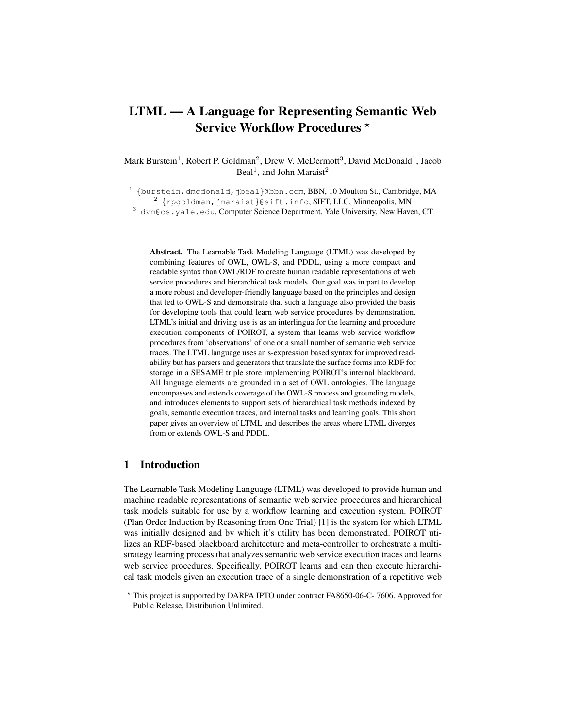# LTML — A Language for Representing Semantic Web Service Workflow Procedures \*

Mark Burstein<sup>1</sup>, Robert P. Goldman<sup>2</sup>, Drew V. McDermott<sup>3</sup>, David McDonald<sup>1</sup>, Jacob Beal<sup>1</sup>, and John Maraist<sup>2</sup>

 $^1$  {burstein,dmcdonald,jbeal}@bbn.com,BBN,10 Moulton St.,Cambridge,MA  $^2$  {rpgoldman,jmaraist}@sift.info,SIFT,LLC,Minneapolis,MN <sup>3</sup> dvm@cs.yale.edu, Computer Science Department, Yale University, New Haven, CT

Abstract. The Learnable Task Modeling Language (LTML) was developed by combining features of OWL, OWL-S, and PDDL, using a more compact and readable syntax than OWL/RDF to create human readable representations of web service procedures and hierarchical task models. Our goal was in part to develop a more robust and developer-friendly language based on the principles and design that led to OWL-S and demonstrate that such a language also provided the basis for developing tools that could learn web service procedures by demonstration. LTML's initial and driving use is as an interlingua for the learning and procedure execution components of POIROT, a system that learns web service workflow procedures from 'observations' of one or a small number of semantic web service traces. The LTML language uses an s-expression based syntax for improved readability but has parsers and generators that translate the surface forms into RDF for storage in a SESAME triple store implementing POIROT's internal blackboard. All language elements are grounded in a set of OWL ontologies. The language encompasses and extends coverage of the OWL-S process and grounding models, and introduces elements to support sets of hierarchical task methods indexed by goals, semantic execution traces, and internal tasks and learning goals. This short paper gives an overview of LTML and describes the areas where LTML diverges from or extends OWL-S and PDDL.

# 1 Introduction

The Learnable Task Modeling Language (LTML) was developed to provide human and machine readable representations of semantic web service procedures and hierarchical task models suitable for use by a workflow learning and execution system. POIROT (Plan Order Induction by Reasoning from One Trial) [1] is the system for which LTML was initially designed and by which it's utility has been demonstrated. POIROT utilizes an RDF-based blackboard architecture and meta-controller to orchestrate a multistrategy learning process that analyzes semantic web service execution traces and learns web service procedures. Specifically, POIROT learns and can then execute hierarchical task models given an execution trace of a single demonstration of a repetitive web

<sup>?</sup> This project is supported by DARPA IPTO under contract FA8650-06-C- 7606. Approved for Public Release, Distribution Unlimited.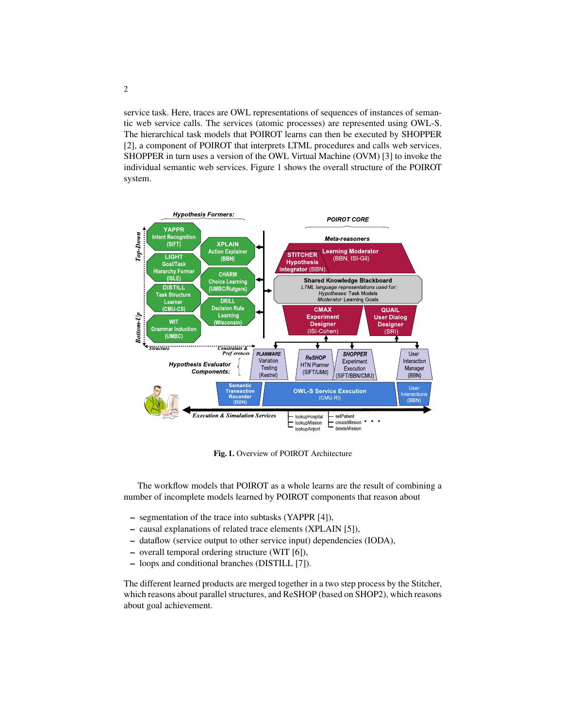service task. Here, traces are OWL representations of sequences of instances of semantic web service calls. The services (atomic processes) are represented using OWL-S. The hierarchical task models that POIROT learns can then be executed by SHOPPER [2], a component of POIROT that interprets LTML procedures and calls web services. SHOPPER in turn uses a version of the OWL Virtual Machine (OVM) [3] to invoke the individual semantic web services. Figure 1 shows the overall structure of the POIROT system.



Fig. 1. Overview of POIROT Architecture

The workflow models that POIROT as a whole learns are the result of combining a number of incomplete models learned by POIROT components that reason about

- segmentation of the trace into subtasks (YAPPR [4]),
- causal explanations of related trace elements (XPLAIN [5]),
- dataflow (service output to other service input) dependencies (IODA),
- overall temporal ordering structure (WIT [6]),
- loops and conditional branches (DISTILL [7]).

The different learned products are merged together in a two step process by the Stitcher, which reasons about parallel structures, and ReSHOP (based on SHOP2), which reasons about goal achievement.

2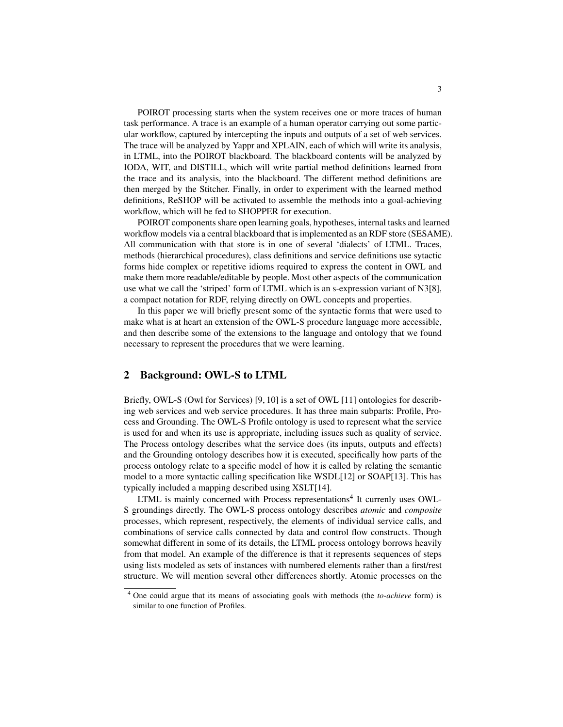POIROT processing starts when the system receives one or more traces of human task performance. A trace is an example of a human operator carrying out some particular workflow, captured by intercepting the inputs and outputs of a set of web services. The trace will be analyzed by Yappr and XPLAIN, each of which will write its analysis, in LTML, into the POIROT blackboard. The blackboard contents will be analyzed by IODA, WIT, and DISTILL, which will write partial method definitions learned from the trace and its analysis, into the blackboard. The different method definitions are then merged by the Stitcher. Finally, in order to experiment with the learned method definitions, ReSHOP will be activated to assemble the methods into a goal-achieving workflow, which will be fed to SHOPPER for execution.

POIROT components share open learning goals, hypotheses, internal tasks and learned workflow models via a central blackboard that is implemented as an RDF store (SESAME). All communication with that store is in one of several 'dialects' of LTML. Traces, methods (hierarchical procedures), class definitions and service definitions use sytactic forms hide complex or repetitive idioms required to express the content in OWL and make them more readable/editable by people. Most other aspects of the communication use what we call the 'striped' form of LTML which is an s-expression variant of N3[8], a compact notation for RDF, relying directly on OWL concepts and properties.

In this paper we will briefly present some of the syntactic forms that were used to make what is at heart an extension of the OWL-S procedure language more accessible, and then describe some of the extensions to the language and ontology that we found necessary to represent the procedures that we were learning.

#### 2 Background: OWL-S to LTML

Briefly, OWL-S (Owl for Services) [9, 10] is a set of OWL [11] ontologies for describing web services and web service procedures. It has three main subparts: Profile, Process and Grounding. The OWL-S Profile ontology is used to represent what the service is used for and when its use is appropriate, including issues such as quality of service. The Process ontology describes what the service does (its inputs, outputs and effects) and the Grounding ontology describes how it is executed, specifically how parts of the process ontology relate to a specific model of how it is called by relating the semantic model to a more syntactic calling specification like WSDL[12] or SOAP[13]. This has typically included a mapping described using XSLT[14].

LTML is mainly concerned with Process representations<sup>4</sup> It currenly uses OWL-S groundings directly. The OWL-S process ontology describes *atomic* and *composite* processes, which represent, respectively, the elements of individual service calls, and combinations of service calls connected by data and control flow constructs. Though somewhat different in some of its details, the LTML process ontology borrows heavily from that model. An example of the difference is that it represents sequences of steps using lists modeled as sets of instances with numbered elements rather than a first/rest structure. We will mention several other differences shortly. Atomic processes on the

<sup>4</sup> One could argue that its means of associating goals with methods (the *to-achieve* form) is similar to one function of Profiles.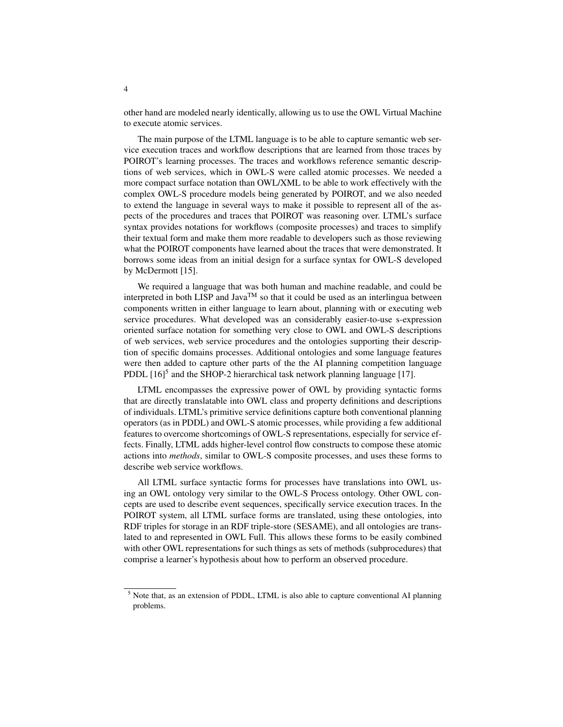other hand are modeled nearly identically, allowing us to use the OWL Virtual Machine to execute atomic services.

The main purpose of the LTML language is to be able to capture semantic web service execution traces and workflow descriptions that are learned from those traces by POIROT's learning processes. The traces and workflows reference semantic descriptions of web services, which in OWL-S were called atomic processes. We needed a more compact surface notation than OWL/XML to be able to work effectively with the complex OWL-S procedure models being generated by POIROT, and we also needed to extend the language in several ways to make it possible to represent all of the aspects of the procedures and traces that POIROT was reasoning over. LTML's surface syntax provides notations for workflows (composite processes) and traces to simplify their textual form and make them more readable to developers such as those reviewing what the POIROT components have learned about the traces that were demonstrated. It borrows some ideas from an initial design for a surface syntax for OWL-S developed by McDermott [15].

We required a language that was both human and machine readable, and could be interpreted in both LISP and Java<sup>TM</sup> so that it could be used as an interlingua between components written in either language to learn about, planning with or executing web service procedures. What developed was an considerably easier-to-use s-expression oriented surface notation for something very close to OWL and OWL-S descriptions of web services, web service procedures and the ontologies supporting their description of specific domains processes. Additional ontologies and some language features were then added to capture other parts of the the AI planning competition language PDDL  $[16]$ <sup>5</sup> and the SHOP-2 hierarchical task network planning language [17].

LTML encompasses the expressive power of OWL by providing syntactic forms that are directly translatable into OWL class and property definitions and descriptions of individuals. LTML's primitive service definitions capture both conventional planning operators (as in PDDL) and OWL-S atomic processes, while providing a few additional features to overcome shortcomings of OWL-S representations, especially for service effects. Finally, LTML adds higher-level control flow constructs to compose these atomic actions into *methods*, similar to OWL-S composite processes, and uses these forms to describe web service workflows.

All LTML surface syntactic forms for processes have translations into OWL using an OWL ontology very similar to the OWL-S Process ontology. Other OWL concepts are used to describe event sequences, specifically service execution traces. In the POIROT system, all LTML surface forms are translated, using these ontologies, into RDF triples for storage in an RDF triple-store (SESAME), and all ontologies are translated to and represented in OWL Full. This allows these forms to be easily combined with other OWL representations for such things as sets of methods (subprocedures) that comprise a learner's hypothesis about how to perform an observed procedure.

<sup>5</sup> Note that, as an extension of PDDL, LTML is also able to capture conventional AI planning problems.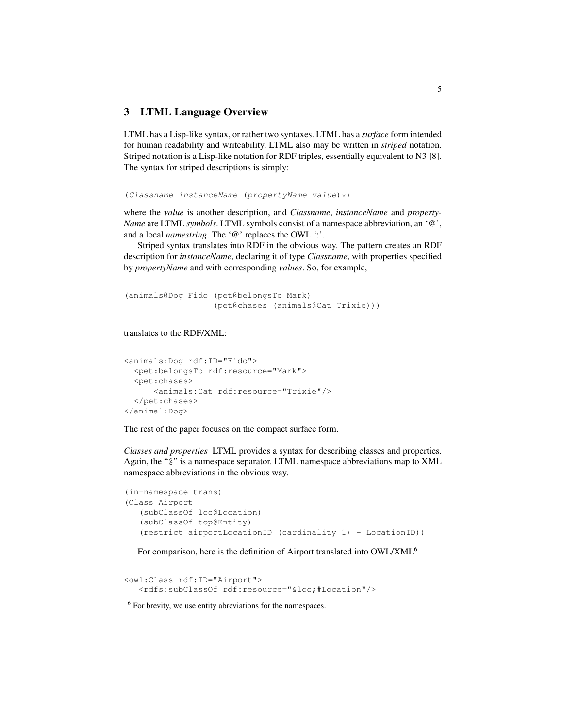## 3 LTML Language Overview

LTML has a Lisp-like syntax, or rather two syntaxes. LTML has a *surface* form intended for human readability and writeability. LTML also may be written in *striped* notation. Striped notation is a Lisp-like notation for RDF triples, essentially equivalent to N3 [8]. The syntax for striped descriptions is simply:

(Classname instanceName (propertyName value)\*)

where the *value* is another description, and *Classname*, *instanceName* and *property-Name* are LTML *symbols*. LTML symbols consist of a namespace abbreviation, an '@', and a local *namestring*. The '@' replaces the OWL ':'.

Striped syntax translates into RDF in the obvious way. The pattern creates an RDF description for *instanceName*, declaring it of type *Classname*, with properties specified by *propertyName* and with corresponding *values*. So, for example,

```
(animals@Dog Fido (pet@belongsTo Mark)
                  (pet@chases (animals@Cat Trixie)))
```
#### translates to the RDF/XML:

```
<animals:Dog rdf:ID="Fido">
  <pet:belongsTo rdf:resource="Mark">
  <pet:chases>
      <animals:Cat rdf:resource="Trixie"/>
  </pet:chases>
</animal:Dog>
```
The rest of the paper focuses on the compact surface form.

*Classes and properties* LTML provides a syntax for describing classes and properties. Again, the "@" is a namespace separator. LTML namespace abbreviations map to XML namespace abbreviations in the obvious way.

```
(in-namespace trans)
(Class Airport
  (subClassOf loc@Location)
   (subClassOf top@Entity)
  (restrict airportLocationID (cardinality 1) - LocationID))
```
For comparison, here is the definition of Airport translated into OWL/XML<sup>6</sup>

<owl:Class rdf:ID="Airport"> <rdfs:subClassOf rdf:resource="&loc;#Location"/>

<sup>&</sup>lt;sup>6</sup> For brevity, we use entity abreviations for the namespaces.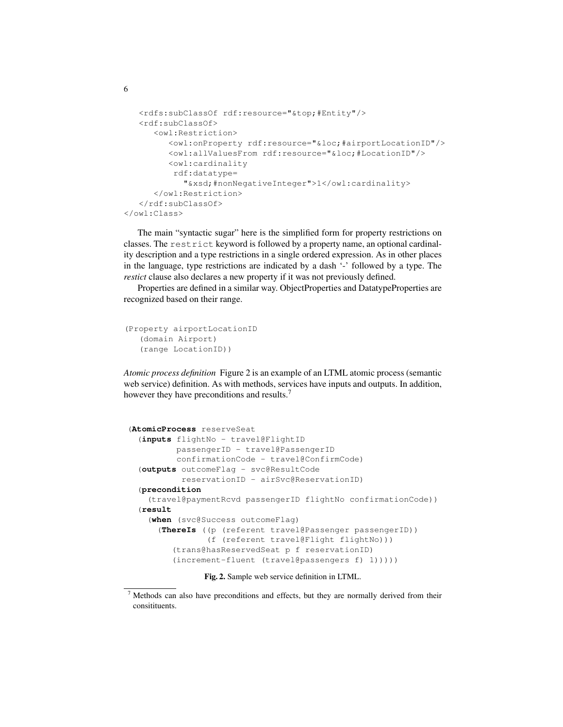```
<rdfs:subClassOf rdf:resource="&top;#Entity"/>
  <rdf:subClassOf>
      <owl:Restriction>
         <owl:onProperty rdf:resource="&loc;#airportLocationID"/>
         <owl:allValuesFrom rdf:resource="&loc;#LocationID"/>
         <owl:cardinality
          rdf:datatype=
            "&xsd;#nonNegativeInteger">1</owl:cardinality>
      </owl:Restriction>
   </rdf:subClassOf>
</owl:Class>
```
The main "syntactic sugar" here is the simplified form for property restrictions on classes. The restrict keyword is followed by a property name, an optional cardinality description and a type restrictions in a single ordered expression. As in other places in the language, type restrictions are indicated by a dash '-' followed by a type. The *restict* clause also declares a new property if it was not previously defined.

Properties are defined in a similar way. ObjectProperties and DatatypeProperties are recognized based on their range.

```
(Property airportLocationID
  (domain Airport)
  (range LocationID))
```
6

*Atomic process definition* Figure 2 is an example of an LTML atomic process (semantic web service) definition. As with methods, services have inputs and outputs. In addition, however they have preconditions and results.<sup>7</sup>

```
(AtomicProcess reserveSeat
  (inputs flightNo - travel@FlightID
         passengerID - travel@PassengerID
         confirmationCode - travel@ConfirmCode)
  (outputs outcomeFlag - svc@ResultCode
           reservationID - airSvc@ReservationID)
  (precondition
    (travel@paymentRcvd passengerID flightNo confirmationCode))
  (result
    (when (svc@Success outcomeFlag)
      (ThereIs ((p (referent travel@Passenger passengerID))
                (f (referent travel@Flight flightNo)))
         (trans@hasReservedSeat p f reservationID)
         (increment-fluent (travel@passengers f) 1)))))
```
Fig. 2. Sample web service definition in LTML.

 $7$  Methods can also have preconditions and effects, but they are normally derived from their consitituents.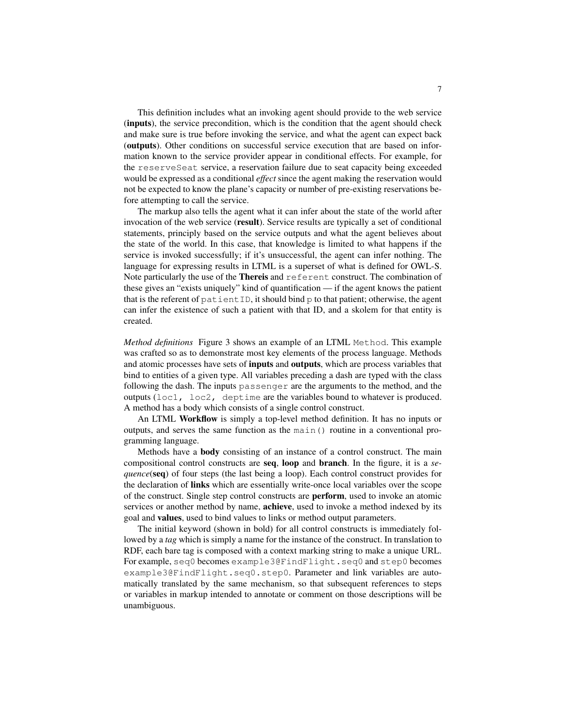This definition includes what an invoking agent should provide to the web service (inputs), the service precondition, which is the condition that the agent should check and make sure is true before invoking the service, and what the agent can expect back (outputs). Other conditions on successful service execution that are based on information known to the service provider appear in conditional effects. For example, for the reserveSeat service, a reservation failure due to seat capacity being exceeded would be expressed as a conditional *effect* since the agent making the reservation would not be expected to know the plane's capacity or number of pre-existing reservations before attempting to call the service.

The markup also tells the agent what it can infer about the state of the world after invocation of the web service (result). Service results are typically a set of conditional statements, principly based on the service outputs and what the agent believes about the state of the world. In this case, that knowledge is limited to what happens if the service is invoked successfully; if it's unsuccessful, the agent can infer nothing. The language for expressing results in LTML is a superset of what is defined for OWL-S. Note particularly the use of the Thereis and referent construct. The combination of these gives an "exists uniquely" kind of quantification — if the agent knows the patient that is the referent of patientID, it should bind p to that patient; otherwise, the agent can infer the existence of such a patient with that ID, and a skolem for that entity is created.

*Method definitions* Figure 3 shows an example of an LTML Method. This example was crafted so as to demonstrate most key elements of the process language. Methods and atomic processes have sets of inputs and outputs, which are process variables that bind to entities of a given type. All variables preceding a dash are typed with the class following the dash. The inputs passenger are the arguments to the method, and the outputs (loc1, loc2, deptime are the variables bound to whatever is produced. A method has a body which consists of a single control construct.

An LTML Workflow is simply a top-level method definition. It has no inputs or outputs, and serves the same function as the main() routine in a conventional programming language.

Methods have a body consisting of an instance of a control construct. The main compositional control constructs are seq, loop and branch. In the figure, it is a *sequence*(seq) of four steps (the last being a loop). Each control construct provides for the declaration of links which are essentially write-once local variables over the scope of the construct. Single step control constructs are perform, used to invoke an atomic services or another method by name, **achieve**, used to invoke a method indexed by its goal and values, used to bind values to links or method output parameters.

The initial keyword (shown in bold) for all control constructs is immediately followed by a *tag* which is simply a name for the instance of the construct. In translation to RDF, each bare tag is composed with a context marking string to make a unique URL. For example, seq0 becomes example3@FindFlight.seq0 and step0 becomes example3@FindFlight.seq0.step0. Parameter and link variables are automatically translated by the same mechanism, so that subsequent references to steps or variables in markup intended to annotate or comment on those descriptions will be unambiguous.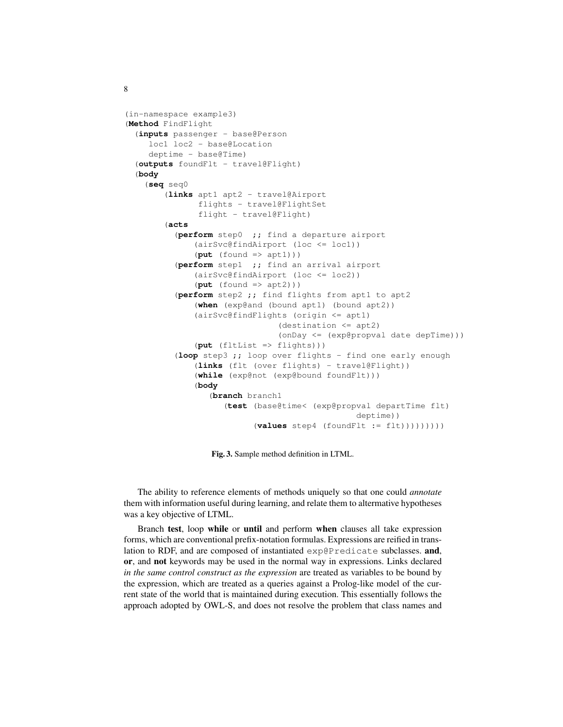```
(in-namespace example3)
(Method FindFlight
  (inputs passenger - base@Person
    loc1 loc2 - base@Location
    deptime - base@Time)
  (outputs foundFlt - travel@Flight)
  (body
    (seq seq0
        (links apt1 apt2 - travel@Airport
               flights - travel@FlightSet
               flight - travel@Flight)
        (acts
          (perform step0 ;; find a departure airport
              (airSvc@findAirport (loc <= loc1))
              (put (found => apt1)))
          (perform step1 ;; find an arrival airport
              (airSvc@findAirport (loc <= loc2))
              (put (found => apt2)))
          (perform step2 ;; find flights from apt1 to apt2
              (when (exp@and (bound apt1) (bound apt2))
              (airSvc@findFlights (origin <= apt1)
                               (destination <= apt2)
                               (onDay <= (exp@propval date depTime)))
              (put (fltList => flights)))
          (loop step3 ;; loop over flights - find one early enough
              (links (flt (over flights) - travel@Flight))
              (while (exp@not (exp@bound foundFlt)))
              (body
                 (branch branch1
                    (test (base@time< (exp@propval departTime flt)
                                                deptime))
                          (values step4 (foundFlt := flt)))))))))
```
Fig. 3. Sample method definition in LTML.

The ability to reference elements of methods uniquely so that one could *annotate* them with information useful during learning, and relate them to altermative hypotheses was a key objective of LTML.

Branch test, loop while or until and perform when clauses all take expression forms, which are conventional prefix-notation formulas. Expressions are reified in translation to RDF, and are composed of instantiated exp@Predicate subclasses. and, or, and not keywords may be used in the normal way in expressions. Links declared *in the same control construct as the expression* are treated as variables to be bound by the expression, which are treated as a queries against a Prolog-like model of the current state of the world that is maintained during execution. This essentially follows the approach adopted by OWL-S, and does not resolve the problem that class names and

8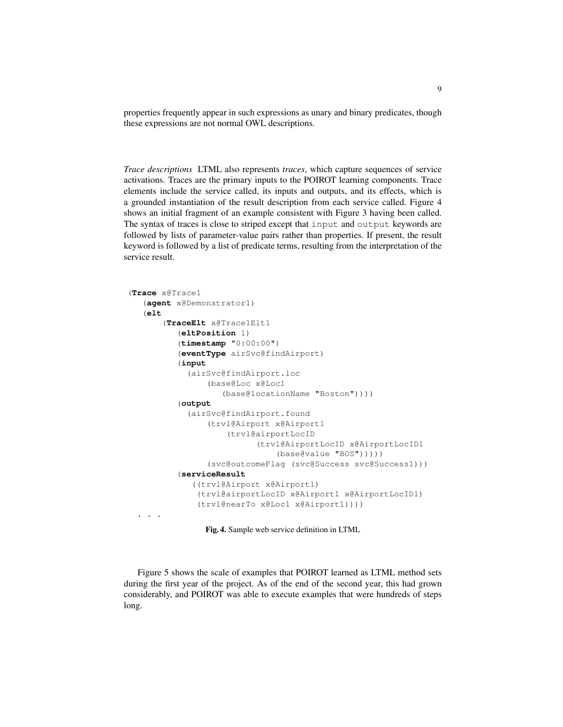properties frequently appear in such expressions as unary and binary predicates, though these expressions are not normal OWL descriptions.

*Trace descriptions* LTML also represents *traces*, which capture sequences of service activations. Traces are the primary inputs to the POIROT learning components. Trace elements include the service called, its inputs and outputs, and its effects, which is a grounded instantiation of the result description from each service called. Figure 4 shows an initial fragment of an example consistent with Figure 3 having been called. The syntax of traces is close to striped except that input and output keywords are followed by lists of parameter-value pairs rather than properties. If present, the result keyword is followed by a list of predicate terms, resulting from the interpretation of the service result.

```
(Trace x@Trace1
   (agent x@Demonstrator1)
   (elt
       (TraceElt x@Trace1Elt1
          (eltPosition 1)
          (timestamp "0:00:00")
          (eventType airSvc@findAirport)
          (input
            (airSvc@findAirport.loc
                (base@Loc x@Loc1
                   (base@locationName "Boston"))))
          (output
            (airSvc@findAirport.found
                (trvl@Airport x@Airport1
                    (trvl@airportLocID
                           (trvl@AirportLocID x@AirportLocID1
                               (base@value "BOS")))))
                (svc@outcomeFlag (svc@Success svc@Success1)))
          (serviceResult
             ((trvl@Airport x@Airport1)
              (trvl@airportLocID x@Airport1 x@AirportLocID1)
              (trvl@nearTo x@Loc1 x@Airport1))))
  . . .
```
Fig. 4. Sample web service definition in LTML

Figure 5 shows the scale of examples that POIROT learned as LTML method sets during the first year of the project. As of the end of the second year, this had grown considerably, and POIROT was able to execute examples that were hundreds of steps long.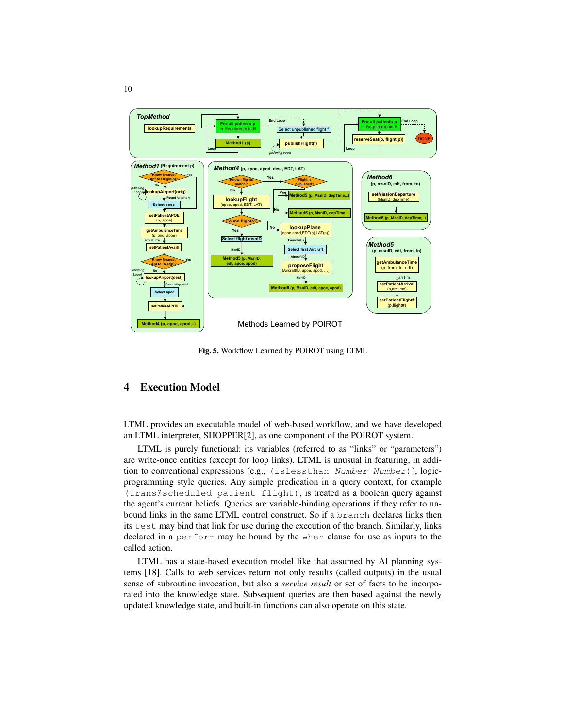

Fig. 5. Workflow Learned by POIROT using LTML

## 4 Execution Model

LTML provides an executable model of web-based workflow, and we have developed an LTML interpreter, SHOPPER[2], as one component of the POIROT system.

LTML is purely functional: its variables (referred to as "links" or "parameters") are write-once entities (except for loop links). LTML is unusual in featuring, in addition to conventional expressions (e.g., (islessthan Number Number)), logicprogramming style queries. Any simple predication in a query context, for example (trans@scheduled patient flight), is treated as a boolean query against the agent's current beliefs. Queries are variable-binding operations if they refer to unbound links in the same LTML control construct. So if a branch declares links then its test may bind that link for use during the execution of the branch. Similarly, links declared in a perform may be bound by the when clause for use as inputs to the called action.

LTML has a state-based execution model like that assumed by AI planning systems [18]. Calls to web services return not only results (called outputs) in the usual sense of subroutine invocation, but also a *service result* or set of facts to be incorporated into the knowledge state. Subsequent queries are then based against the newly updated knowledge state, and built-in functions can also operate on this state.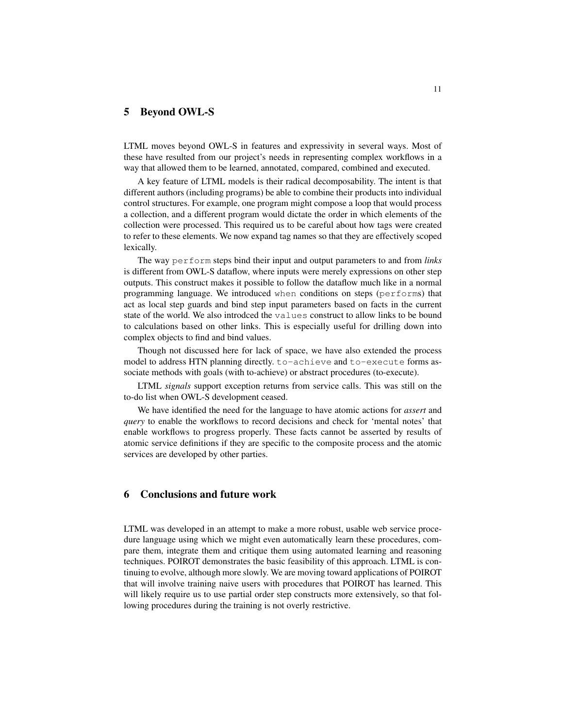#### 5 Beyond OWL-S

LTML moves beyond OWL-S in features and expressivity in several ways. Most of these have resulted from our project's needs in representing complex workflows in a way that allowed them to be learned, annotated, compared, combined and executed.

A key feature of LTML models is their radical decomposability. The intent is that different authors (including programs) be able to combine their products into individual control structures. For example, one program might compose a loop that would process a collection, and a different program would dictate the order in which elements of the collection were processed. This required us to be careful about how tags were created to refer to these elements. We now expand tag names so that they are effectively scoped lexically.

The way perform steps bind their input and output parameters to and from *links* is different from OWL-S dataflow, where inputs were merely expressions on other step outputs. This construct makes it possible to follow the dataflow much like in a normal programming language. We introduced when conditions on steps (performs) that act as local step guards and bind step input parameters based on facts in the current state of the world. We also introdced the values construct to allow links to be bound to calculations based on other links. This is especially useful for drilling down into complex objects to find and bind values.

Though not discussed here for lack of space, we have also extended the process model to address HTN planning directly. to-achieve and to-execute forms associate methods with goals (with to-achieve) or abstract procedures (to-execute).

LTML *signals* support exception returns from service calls. This was still on the to-do list when OWL-S development ceased.

We have identified the need for the language to have atomic actions for *assert* and *query* to enable the workflows to record decisions and check for 'mental notes' that enable workflows to progress properly. These facts cannot be asserted by results of atomic service definitions if they are specific to the composite process and the atomic services are developed by other parties.

## 6 Conclusions and future work

LTML was developed in an attempt to make a more robust, usable web service procedure language using which we might even automatically learn these procedures, compare them, integrate them and critique them using automated learning and reasoning techniques. POIROT demonstrates the basic feasibility of this approach. LTML is continuing to evolve, although more slowly. We are moving toward applications of POIROT that will involve training naive users with procedures that POIROT has learned. This will likely require us to use partial order step constructs more extensively, so that following procedures during the training is not overly restrictive.